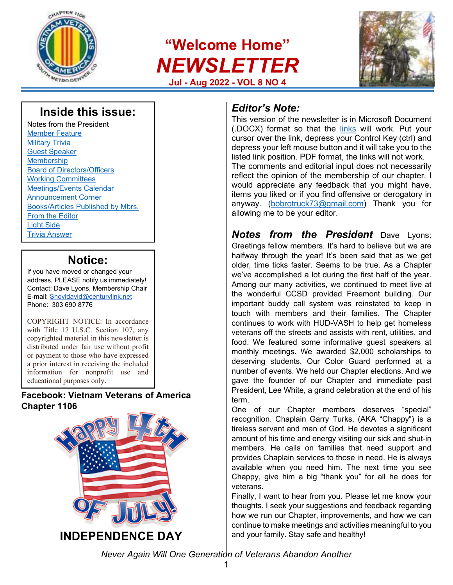

# **"Welcome Home"**  *NEWSLETTER*  **Jul - Aug 2022 - VOL 8 NO 4**



## **Inside this issue:**

Notes from the President Member Feature Military Trivia Guest Speaker **Membership** Board of Directors/Officers Working Committees Meetings/Events Calendar Announcement Corner Books/Articles Published by Mbrs. From the Editor Light Side Trivia Answer

## **Notice:**

If you have moved or changed your address, PLEASE notify us immediately! Contact: Dave Lyons, Membership Chair E-mail: Snoyldavid@centurylink.net Phone: 303 690 8776

COPYRIGHT NOTICE: In accordance with Title 17 U.S.C. Section 107, any copyrighted material in this newsletter is distributed under fair use without profit or payment to those who have expressed a prior interest in receiving the included information for nonprofit use and educational purposes only.

### **Facebook: Vietnam Veterans of America Chapter 1106**



### *Editor's Note:*

This version of the newsletter is in Microsoft Document (.DOCX) format so that the links will work. Put your cursor over the link, depress your Control Key (ctrl) and depress your left mouse button and it will take you to the listed link position. PDF format, the links will not work. The comments and editorial input does not necessarily reflect the opinion of the membership of our chapter. I would appreciate any feedback that you might have, items you liked or if you find offensive or derogatory in anyway. (bobrotruck73@gmail.com) Thank you for allowing me to be your editor.

*Notes from the President* Dave Lyons: Greetings fellow members. It's hard to believe but we are halfway through the year! It's been said that as we get older, time ticks faster. Seems to be true. As a Chapter we've accomplished a lot during the first half of the year. Among our many activities, we continued to meet live at the wonderful CCSD provided Freemont building. Our important buddy call system was reinstated to keep in touch with members and their families. The Chapter continues to work with HUD-VASH to help get homeless veterans off the streets and assists with rent, utilities, and food. We featured some informative guest speakers at monthly meetings. We awarded \$2,000 scholarships to deserving students. Our Color Guard performed at a number of events. We held our Chapter elections. And we gave the founder of our Chapter and immediate past President, Lee White, a grand celebration at the end of his term.

One of our Chapter members deserves "special" recognition. Chaplain Garry Turks, (AKA "Chappy") is a tireless servant and man of God. He devotes a significant amount of his time and energy visiting our sick and shut-in members. He calls on families that need support and provides Chaplain services to those in need. He is always available when you need him. The next time you see Chappy, give him a big "thank you" for all he does for veterans.

Finally, I want to hear from you. Please let me know your thoughts. I seek your suggestions and feedback regarding how we run our Chapter, improvements, and how we can continue to make meetings and activities meaningful to you and your family. Stay safe and healthy!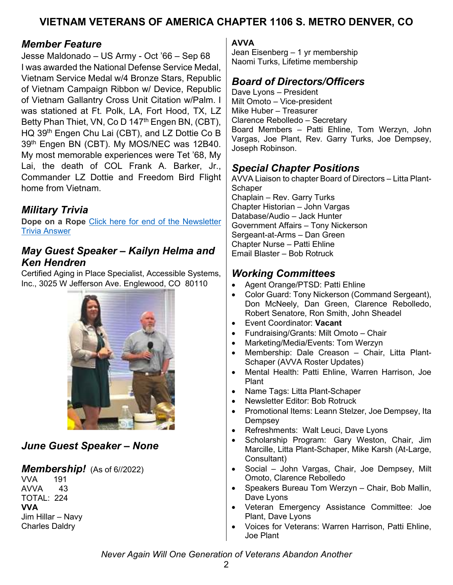### *Member Feature*

Jesse Maldonado – US Army - Oct '66 – Sep 68 I was awarded the National Defense Service Medal, Vietnam Service Medal w/4 Bronze Stars, Republic of Vietnam Campaign Ribbon w/ Device, Republic of Vietnam Gallantry Cross Unit Citation w/Palm. I was stationed at Ft. Polk, LA, Fort Hood, TX, LZ Betty Phan Thiet, VN, Co D 147<sup>th</sup> Engen BN, (CBT), HQ 39<sup>th</sup> Engen Chu Lai (CBT), and LZ Dottie Co B 39th Engen BN (CBT). My MOS/NEC was 12B40. My most memorable experiences were Tet '68, My Lai, the death of COL Frank A. Barker, Jr., Commander LZ Dottie and Freedom Bird Flight home from Vietnam.

### *Military Trivia*

**Dope on a Rope** Click here for end of the Newsletter Trivia Answer

### *May Guest Speaker – Kailyn Helma and Ken Hendren*

Certified Aging in Place Specialist, Accessible Systems, Inc., 3025 W Jefferson Ave. Englewood, CO 80110



## *June Guest Speaker – None*

*Membership!* (As of 6//2022)<br>VVA 191

**VVA** AVVA 43  $TOTAI: 224$ **VVA**  Jim Hillar – Navy Charles Daldry

### **AVVA**

Jean Eisenberg – 1 yr membership Naomi Turks, Lifetime membership

## *Board of Directors/Officers*

Dave Lyons – President Milt Omoto – Vice-president Mike Huber – Treasurer Clarence Rebolledo – Secretary Board Members – Patti Ehline, Tom Werzyn, John Vargas, Joe Plant, Rev. Garry Turks, Joe Dempsey, Joseph Robinson.

## *Special Chapter Positions*

AVVA Liaison to chapter Board of Directors – Litta Plant-**Schaper** Chaplain – Rev. Garry Turks Chapter Historian – John Vargas Database/Audio – Jack Hunter Government Affairs – Tony Nickerson Sergeant-at-Arms – Dan Green Chapter Nurse – Patti Ehline Email Blaster – Bob Rotruck

### *Working Committees*

- Agent Orange/PTSD: Patti Ehline
- Color Guard: Tony Nickerson (Command Sergeant), Don McNeely, Dan Green, Clarence Rebolledo, Robert Senatore, Ron Smith, John Sheadel
- Event Coordinator: **Vacant**
- Fundraising/Grants: Milt Omoto Chair
- Marketing/Media/Events: Tom Werzyn
- Membership: Dale Creason Chair, Litta Plant-Schaper (AVVA Roster Updates)
- Mental Health: Patti Ehline, Warren Harrison, Joe Plant
- Name Tags: Litta Plant-Schaper
- Newsletter Editor: Bob Rotruck
- Promotional Items: Leann Stelzer, Joe Dempsey, Ita **Dempsey**
- Refreshments: Walt Leuci, Dave Lyons
- Scholarship Program: Gary Weston, Chair, Jim Marcille, Litta Plant-Schaper, Mike Karsh (At-Large, Consultant)
- Social John Vargas, Chair, Joe Dempsey, Milt Omoto, Clarence Rebolledo
- Speakers Bureau Tom Werzyn Chair, Bob Mallin, Dave Lyons
- Veteran Emergency Assistance Committee: Joe Plant, Dave Lyons
- Voices for Veterans: Warren Harrison, Patti Ehline, Joe Plant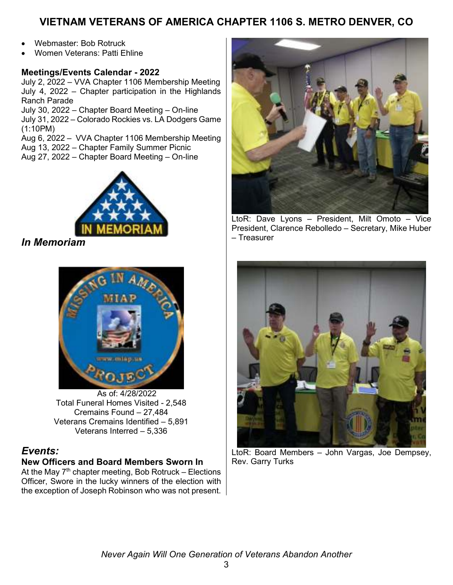- Webmaster: Bob Rotruck
- Women Veterans: Patti Ehline

#### **Meetings/Events Calendar - 2022**

July 2, 2022 – VVA Chapter 1106 Membership Meeting July 4, 2022 – Chapter participation in the Highlands Ranch Parade

July 30, 2022 – Chapter Board Meeting – On-line

July 31, 2022 – Colorado Rockies vs. LA Dodgers Game (1:10PM)

Aug 6, 2022 – VVA Chapter 1106 Membership Meeting

- Aug 13, 2022 Chapter Family Summer Picnic
- Aug 27, 2022 Chapter Board Meeting On-line



*In Memoriam* 



 As of: 4/28/2022 Total Funeral Homes Visited - 2,548 Cremains Found – 27,484 Veterans Cremains Identified – 5,891 Veterans Interred – 5,336

### *Events:*

#### **New Officers and Board Members Sworn In**

At the May  $7<sup>th</sup>$  chapter meeting, Bob Rotruck – Elections Officer, Swore in the lucky winners of the election with the exception of Joseph Robinson who was not present.



LtoR: Dave Lyons – President, Milt Omoto – Vice President, Clarence Rebolledo – Secretary, Mike Huber – Treasurer



LtoR: Board Members – John Vargas, Joe Dempsey, Rev. Garry Turks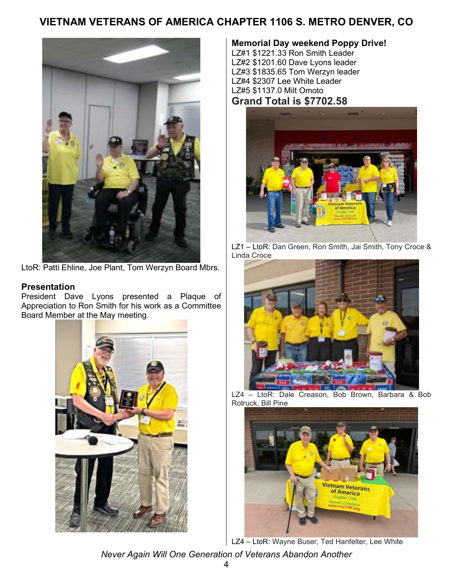

LtoR: Patti Ehline, Joe Plant, Tom Werzyn Board Mbrs.

#### **Presentation**

President Dave Lyons presented a Plaque of Appreciation to Ron Smith for his work as a Committee Board Member at the May meeting.



## **Memorial Day weekend Poppy Drive!**

LZ#1 \$1221.33 Ron Smith Leader LZ#2 \$1201.60 Dave Lyons leader LZ#3 \$1835.65 Tom Werzyn leader LZ#4 \$2307 Lee White Leader LZ#5 \$1137.0 Milt Omoto **Grand Total is \$7702.58** 



LZ1 – LtoR: Dan Green, Ron Smith, Jai Smith, Tony Croce & Linda Croce



LZ4 – LtoR: Dale Creason, Bob Brown, Barbara & Bob Rotruck, Bill Pine



LZ4 – LtoR: Wayne Buser, Ted Hanfelter, Lee White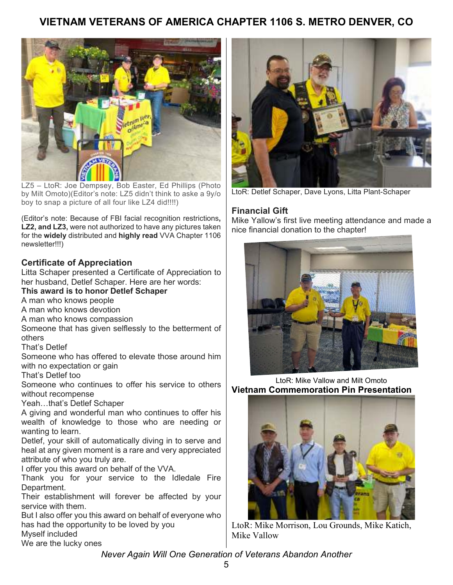

LZ5 – LtoR: Joe Dempsey, Bob Easter, Ed Phillips (Photo by Milt Omoto)(Editor's note: LZ5 didn't think to aske a 9y/o boy to snap a picture of all four like LZ4 did!!!!)

(Editor's note: Because of FBI facial recognition restrictions**, LZ2, and LZ3,** were not authorized to have any pictures taken for the **widely** distributed and **highly read** VVA Chapter 1106 newsletter!!!)

### **Certificate of Appreciation**

Litta Schaper presented a Certificate of Appreciation to her husband, Detlef Schaper. Here are her words:

### **This award is to honor Detlef Schaper**

A man who knows people

A man who knows devotion

A man who knows compassion

Someone that has given selflessly to the betterment of others

That's Detlef

Someone who has offered to elevate those around him with no expectation or gain

That's Detlef too

Someone who continues to offer his service to others without recompense

Yeah…that's Detlef Schaper

A giving and wonderful man who continues to offer his wealth of knowledge to those who are needing or wanting to learn.

Detlef, your skill of automatically diving in to serve and heal at any given moment is a rare and very appreciated attribute of who you truly are.

I offer you this award on behalf of the VVA.

Thank you for your service to the Idledale Fire Department.

Their establishment will forever be affected by your service with them.

But I also offer you this award on behalf of everyone who has had the opportunity to be loved by you Myself included

We are the lucky ones



LtoR: Detlef Schaper, Dave Lyons, Litta Plant-Schaper

### **Financial Gift**

Mike Yallow's first live meeting attendance and made a nice financial donation to the chapter!



LtoR: Mike Vallow and Milt Omoto **Vietnam Commemoration Pin Presentation** 



LtoR: Mike Morrison, Lou Grounds, Mike Katich, Mike Vallow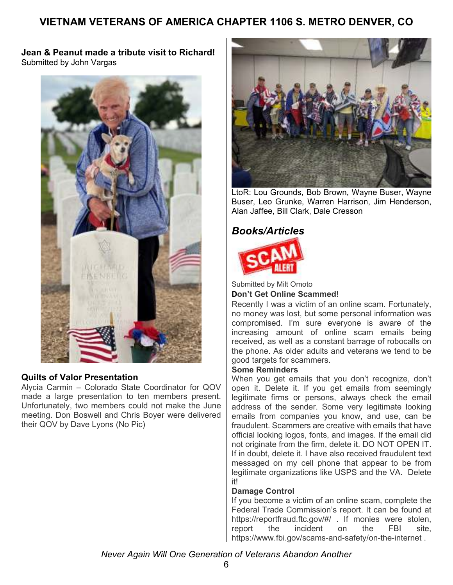### **Jean & Peanut made a tribute visit to Richard!**  Submitted by John Vargas



### **Quilts of Valor Presentation**

Alycia Carmin – Colorado State Coordinator for QOV made a large presentation to ten members present. Unfortunately, two members could not make the June meeting. Don Boswell and Chris Boyer were delivered their QOV by Dave Lyons (No Pic)



LtoR: Lou Grounds, Bob Brown, Wayne Buser, Wayne Buser, Leo Grunke, Warren Harrison, Jim Henderson, Alan Jaffee, Bill Clark, Dale Cresson

### *Books/Articles*



Submitted by Milt Omoto **Don't Get Online Scammed!** 

Recently I was a victim of an online scam. Fortunately, no money was lost, but some personal information was compromised. I'm sure everyone is aware of the increasing amount of online scam emails being received, as well as a constant barrage of robocalls on the phone. As older adults and veterans we tend to be good targets for scammers.

#### **Some Reminders**

When you get emails that you don't recognize, don't open it. Delete it. If you get emails from seemingly legitimate firms or persons, always check the email address of the sender. Some very legitimate looking emails from companies you know, and use, can be fraudulent. Scammers are creative with emails that have official looking logos, fonts, and images. If the email did not originate from the firm, delete it. DO NOT OPEN IT. If in doubt, delete it. I have also received fraudulent text messaged on my cell phone that appear to be from legitimate organizations like USPS and the VA. Delete it!

#### **Damage Control**

If you become a victim of an online scam, complete the Federal Trade Commission's report. It can be found at https://reportfraud.ftc.gov/#/ . If monies were stolen,<br>report the incident on the FBI site. report the incident on the FBI site, https://www.fbi.gov/scams-and-safety/on-the-internet .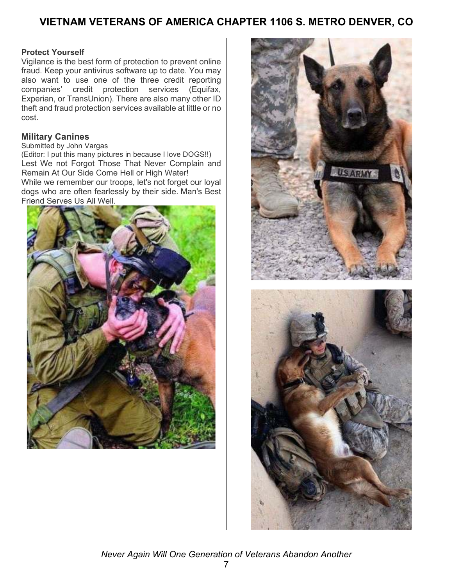#### **Protect Yourself**

Vigilance is the best form of protection to prevent online fraud. Keep your antivirus software up to date. You may also want to use one of the three credit reporting companies' credit protection services (Equifax, Experian, or TransUnion). There are also many other ID theft and fraud protection services available at little or no cost.

#### **Military Canines**

Submitted by John Vargas

(Editor: I put this many pictures in because I love DOGS!!) Lest We not Forgot Those That Never Complain and Remain At Our Side Come Hell or High Water! While we remember our troops, let's not forget our loyal

dogs who are often fearlessly by their side. Man's Best Friend Serves Us All Well.



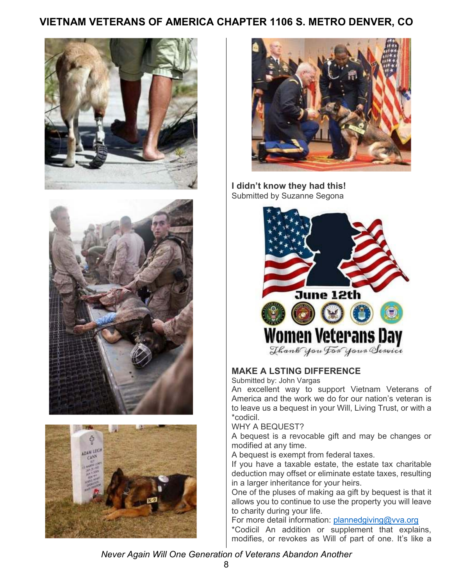







**I didn't know they had this!**  Submitted by Suzanne Segona



### **MAKE A LSTING DIFFERENCE**

Submitted by: John Vargas

An excellent way to support Vietnam Veterans of America and the work we do for our nation's veteran is to leave us a bequest in your Will, Living Trust, or with a \*codicil.

#### WHY A BEQUEST?

A bequest is a revocable gift and may be changes or modified at any time.

A bequest is exempt from federal taxes.

If you have a taxable estate, the estate tax charitable deduction may offset or eliminate estate taxes, resulting in a larger inheritance for your heirs.

One of the pluses of making aa gift by bequest is that it allows you to continue to use the property you will leave to charity during your life.

For more detail information: plannedgiving@vva.org

\*Codicil An addition or supplement that explains, modifies, or revokes as Will of part of one. It's like a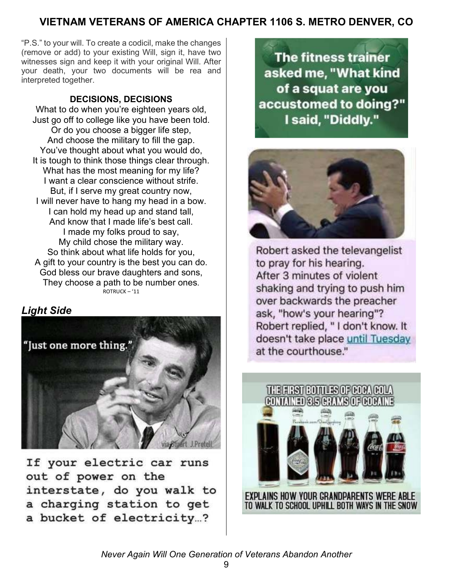"P.S." to your will. To create a codicil, make the changes (remove or add) to your existing Will, sign it, have two witnesses sign and keep it with your original Will. After your death, your two documents will be rea and interpreted together.

### **DECISIONS, DECISIONS**

What to do when you're eighteen years old, Just go off to college like you have been told. Or do you choose a bigger life step, And choose the military to fill the gap. You've thought about what you would do, It is tough to think those things clear through. What has the most meaning for my life? I want a clear conscience without strife. But, if I serve my great country now, I will never have to hang my head in a bow. I can hold my head up and stand tall, And know that I made life's best call. I made my folks proud to say, My child chose the military way. So think about what life holds for you, A gift to your country is the best you can do. God bless our brave daughters and sons, They choose a path to be number ones. ROTRUCK – '11

## *Light Side*



If your electric car runs out of power on the interstate, do you walk to a charging station to get a bucket of electricity...?

**The fitness trainer** asked me, "What kind of a squat are you accustomed to doing?" I said, "Diddly."



Robert asked the televangelist to pray for his hearing. After 3 minutes of violent shaking and trying to push him over backwards the preacher ask, "how's your hearing"? Robert replied, "I don't know. It doesn't take place until Tuesday at the courthouse."

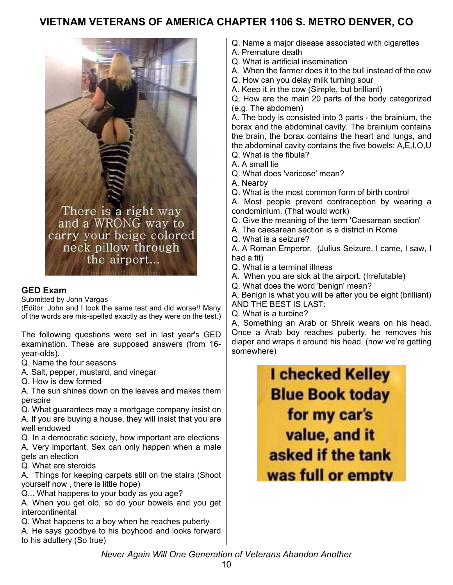

#### **GED Exam**

Submitted by John Vargas

(Editor: John and I took the same test and did worse!! Many of the words are mis-spelled exactly as they were on the test.)

The following questions were set in last year's GED examination. These are supposed answers (from 16 year-olds).

Q. Name the four seasons

A. Salt, pepper, mustard, and vinegar

Q. How is dew formed

A. The sun shines down on the leaves and makes them perspire

Q. What guarantees may a mortgage company insist on A. If you are buying a house, they will insist that you are well endowed

Q. In a democratic society, how important are elections A. Very important. Sex can only happen when a male gets an election

Q. What are steroids

A. Things for keeping carpets still on the stairs (Shoot yourself now , there is little hope)

Q... What happens to your body as you age?

A. When you get old, so do your bowels and you get intercontinental

Q. What happens to a boy when he reaches puberty

A. He says goodbye to his boyhood and looks forward to his adultery (So true)

- Q. Name a major disease associated with cigarettes
- A. Premature death
- Q. What is artificial insemination
- A. When the farmer does it to the bull instead of the cow
- Q. How can you delay milk turning sour
- A. Keep it in the cow (Simple, but brilliant)

Q. How are the main 20 parts of the body categorized (e.g. The abdomen)

A. The body is consisted into 3 parts - the brainium, the borax and the abdominal cavity. The brainium contains the brain, the borax contains the heart and lungs, and the abdominal cavity contains the five bowels: A,E,I,O,U Q. What is the fibula?

- A. A small lie
- Q. What does 'varicose' mean?
- A. Nearby
- Q. What is the most common form of birth control

A. Most people prevent contraception by wearing a condominium. (That would work)

Q. Give the meaning of the term 'Caesarean section'

- A. The caesarean section is a district in Rome
- Q. What is a seizure?

A. A Roman Emperor. (Julius Seizure, I came, I saw, I had a fit)

- Q. What is a terminal illness
- A. When you are sick at the airport. (Irrefutable)
- Q. What does the word 'benign' mean?

A. Benign is what you will be after you be eight (brilliant) AND THE BEST IS LAST:

Q. What is a turbine?

A. Something an Arab or Shreik wears on his head. Once a Arab boy reaches puberty, he removes his diaper and wraps it around his head. (now we're getting somewhere)

> **I checked Kelley Blue Book today** for my car's value, and it asked if the tank was full or empty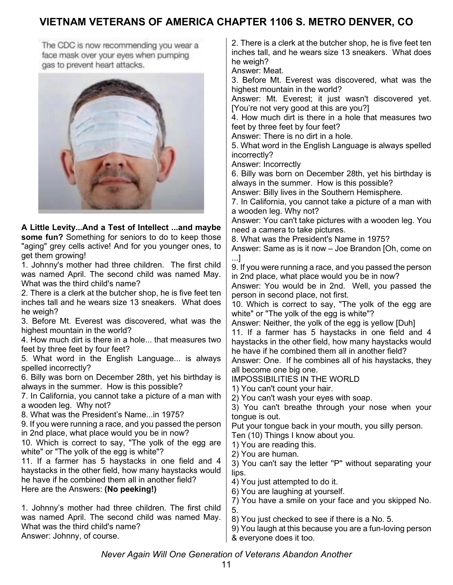The CDC is now recommending you wear a face mask over your eyes when pumping gas to prevent heart attacks.



**A Little Levity...And a Test of Intellect ...and maybe some fun?** Something for seniors to do to keep those "aging" grey cells active! And for you younger ones, to get them growing!

1. Johnny's mother had three children. The first child was named April. The second child was named May. What was the third child's name?

2. There is a clerk at the butcher shop, he is five feet ten inches tall and he wears size 13 sneakers. What does he weigh?

3. Before Mt. Everest was discovered, what was the highest mountain in the world?

4. How much dirt is there in a hole... that measures two feet by three feet by four feet?

5. What word in the English Language... is always spelled incorrectly?

6. Billy was born on December 28th, yet his birthday is always in the summer. How is this possible?

7. In California, you cannot take a picture of a man with a wooden leg. Why not?

8. What was the President's Name...in 1975?

9. If you were running a race, and you passed the person in 2nd place, what place would you be in now?

10. Which is correct to say, "The yolk of the egg are white" or "The yolk of the egg is white"?

11. If a farmer has 5 haystacks in one field and 4 haystacks in the other field, how many haystacks would he have if he combined them all in another field? Here are the Answers: **(No peeking!)** 

1. Johnny's mother had three children. The first child was named April. The second child was named May. What was the third child's name? Answer: Johnny, of course.

2. There is a clerk at the butcher shop, he is five feet ten inches tall, and he wears size 13 sneakers. What does he weigh?

Answer: Meat.

3. Before Mt. Everest was discovered, what was the highest mountain in the world?

Answer: Mt. Everest; it just wasn't discovered yet. [You're not very good at this are you?]

4. How much dirt is there in a hole that measures two feet by three feet by four feet?

Answer: There is no dirt in a hole.

5. What word in the English Language is always spelled incorrectly?

Answer: Incorrectly

6. Billy was born on December 28th, yet his birthday is always in the summer. How is this possible?

Answer: Billy lives in the Southern Hemisphere.

7. In California, you cannot take a picture of a man with a wooden leg. Why not?

Answer: You can't take pictures with a wooden leg. You need a camera to take pictures.

8. What was the President's Name in 1975?

Answer: Same as is it now – Joe Brandon [Oh, come on ...]

9. If you were running a race, and you passed the person in 2nd place, what place would you be in now?

Answer: You would be in 2nd. Well, you passed the person in second place, not first.

10. Which is correct to say, "The yolk of the egg are white" or "The yolk of the egg is white"?

Answer: Neither, the yolk of the egg is yellow [Duh]

11. If a farmer has 5 haystacks in one field and 4 haystacks in the other field, how many haystacks would he have if he combined them all in another field?

Answer: One. If he combines all of his haystacks, they all become one big one.

IMPOSSIBILITIES IN THE WORLD

1) You can't count your hair.

2) You can't wash your eyes with soap.

3) You can't breathe through your nose when your tongue is out.

Put your tongue back in your mouth, you silly person. Ten (10) Things I know about you.

1) You are reading this.

2) You are human.

3) You can't say the letter ''P'' without separating your lips.

4) You just attempted to do it.

6) You are laughing at yourself.

7) You have a smile on your face and you skipped No. 5.

8) You just checked to see if there is a No. 5.

9) You laugh at this because you are a fun-loving person & everyone does it too.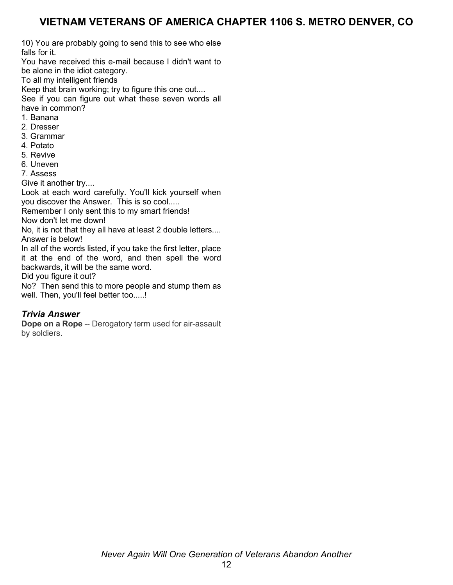10) You are probably going to send this to see who else falls for it.

You have received this e-mail because I didn't want to be alone in the idiot category.

To all my intelligent friends

Keep that brain working; try to figure this one out....

See if you can figure out what these seven words all have in common?

- 1. Banana
- 2. Dresser
- 3. Grammar
- 4. Potato
- 5. Revive
- 6. Uneven

7. Assess

Give it another try....

Look at each word carefully. You'll kick yourself when you discover the Answer. This is so cool.....

Remember I only sent this to my smart friends! Now don't let me down!

No, it is not that they all have at least 2 double letters.... Answer is below!

In all of the words listed, if you take the first letter, place it at the end of the word, and then spell the word backwards, it will be the same word.

Did you figure it out?

No? Then send this to more people and stump them as well. Then, you'll feel better too.....!

### *Trivia Answer*

**Dope on a Rope** -- Derogatory term used for air-assault by soldiers.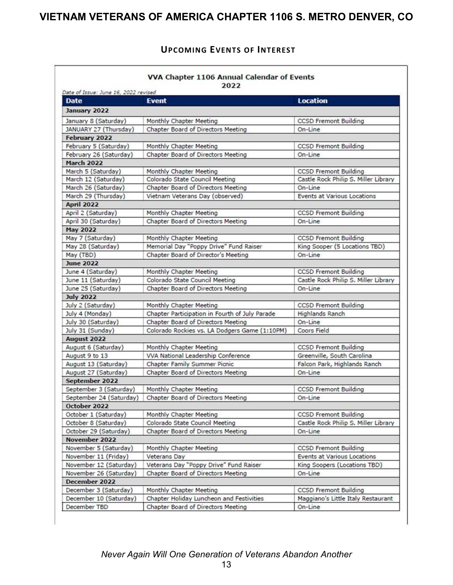### **UPCOMING EVENTS OF INTEREST**

| 2022<br>Date of Issue: June 16, 2022 revised |                                                |                                      |  |  |
|----------------------------------------------|------------------------------------------------|--------------------------------------|--|--|
| <b>Date</b>                                  | <b>Event</b>                                   | <b>Location</b>                      |  |  |
| January 2022                                 |                                                |                                      |  |  |
| January 8 (Saturday)                         | Monthly Chapter Meeting                        | CCSD Fremont Building                |  |  |
| JANUARY 27 (Thursday)                        | Chapter Board of Directors Meeting             | On-Line                              |  |  |
| February 2022                                |                                                |                                      |  |  |
| February 5 (Saturday)                        | Monthly Chapter Meeting                        | CCSD Fremont Building                |  |  |
| February 26 (Saturday)                       | Chapter Board of Directors Meeting             | On-Line                              |  |  |
| <b>March 2022</b>                            |                                                |                                      |  |  |
| March 5 (Saturday)                           | Monthly Chapter Meeting                        | CCSD Fremont Building                |  |  |
| March 12 (Saturday)                          | Colorado State Council Meeting                 | Castle Rock Philip S. Miller Library |  |  |
| March 26 (Saturday)                          | Chapter Board of Directors Meeting             | On-Line                              |  |  |
| March 29 (Thursday)                          | Vietnam Veterans Day (observed)                | Events at Various Locations          |  |  |
| <b>April 2022</b>                            |                                                |                                      |  |  |
| April 2 (Saturday)                           | Monthly Chapter Meeting                        | CCSD Fremont Building                |  |  |
| April 30 (Saturday)                          | Chapter Board of Directors Meeting             | On-Line                              |  |  |
| <b>May 2022</b>                              |                                                |                                      |  |  |
| May 7 (Saturday)                             | Monthly Chapter Meeting                        | <b>CCSD Fremont Building</b>         |  |  |
| May 28 (Saturday)                            | Memorial Day "Poppy Drive" Fund Raiser         | King Sooper (5 Locations TBD)        |  |  |
| May (TBD)                                    | Chapter Board of Director's Meeting            | On-Line                              |  |  |
| June 2022                                    |                                                |                                      |  |  |
| June 4 (Saturday)                            | Monthly Chapter Meeting                        | CCSD Fremont Building                |  |  |
| June 11 (Saturday)                           | Colorado State Council Meeting                 | Castle Rock Philip S. Miller Library |  |  |
| June 25 (Saturday)                           | Chapter Board of Directors Meeting             | On-Line                              |  |  |
| <b>July 2022</b>                             |                                                |                                      |  |  |
| July 2 (Saturday)                            | Monthly Chapter Meeting                        | CCSD Fremont Building                |  |  |
| July 4 (Monday)                              | Chapter Participation in Fourth of July Parade | Highlands Ranch                      |  |  |
| July 30 (Saturday)                           | Chapter Board of Directors Meeting             | On-Line                              |  |  |
| July 31 (Sunday)                             | Colorado Rockies vs. LA Dodgers Game (1:10PM)  | Coors Field                          |  |  |
| August 2022                                  |                                                |                                      |  |  |
| August 6 (Saturday)                          | Monthly Chapter Meeting                        | <b>CCSD Fremont Building</b>         |  |  |
| August 9 to 13                               | VVA National Leadership Conference             | Greenville, South Carolina           |  |  |
| August 13 (Saturday)                         | Chapter Family Summer Picnic                   | Falcon Park, Highlands Ranch         |  |  |
| August 27 (Saturday)                         | Chapter Board of Directors Meeting             | On-Line                              |  |  |
| September 2022                               |                                                |                                      |  |  |
| September 3 (Saturday)                       | Monthly Chapter Meeting                        | <b>CCSD Fremont Building</b>         |  |  |
| September 24 (Saturday)                      | Chapter Board of Directors Meeting             | On-Line                              |  |  |
| October 2022                                 |                                                |                                      |  |  |
| October 1 (Saturday)                         | Monthly Chapter Meeting                        | CCSD Fremont Building                |  |  |
| October 8 (Saturday)                         | Colorado State Council Meeting                 | Castle Rock Philip S. Miller Library |  |  |
| October 29 (Saturday)                        | Chapter Board of Directors Meeting             | On-Line                              |  |  |
| November 2022                                |                                                |                                      |  |  |
| November 5 (Saturday)                        | Monthly Chapter Meeting                        | CCSD Fremont Building                |  |  |
| November 11 (Friday)                         | Veterans Day                                   | Events at Various Locations          |  |  |
| November 12 (Saturday)                       | Veterans Day "Poppy Drive" Fund Raiser         | King Soopers (Locations TBD)         |  |  |
| November 26 (Saturday)                       | Chapter Board of Directors Meeting             | On-Line                              |  |  |
| December 2022                                |                                                |                                      |  |  |
| December 3 (Saturday)                        | Monthly Chapter Meeting                        | CCSD Fremont Building                |  |  |
| December 10 (Saturday)                       | Chapter Holiday Luncheon and Festivities       | Maggiano's Little Italy Restaurant   |  |  |
|                                              |                                                |                                      |  |  |
| December TBD                                 | Chapter Board of Directors Meeting             | On-Line                              |  |  |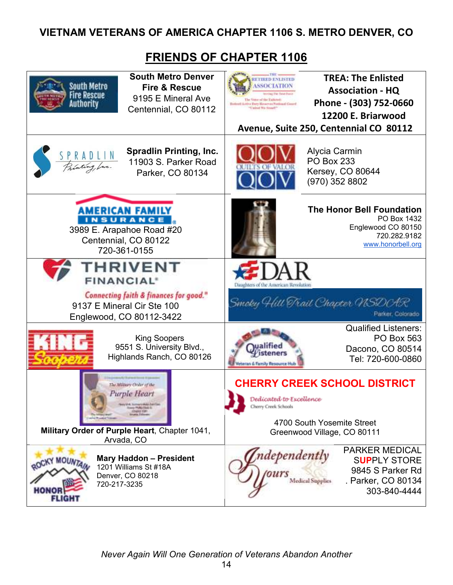## **FRIENDS OF CHAPTER 1106**

| <b>South Metro Denver</b><br><b>South Metro</b><br><b>Fire &amp; Rescue</b><br><b>Fire Rescue</b><br>9195 E Mineral Ave<br>Authority<br>Centennial, CO 80112                            | The Vetre of the Enfirted<br>Retent/Artive Daty/Reserve/National Geneti<br><b>Circuit We Stoned?</b>                                                | <b>TREA: The Enlisted</b><br><b>Association - HQ</b><br>Phone - (303) 752-0660<br>12200 E. Briarwood<br>Avenue, Suite 250, Centennial CO 80112 |
|-----------------------------------------------------------------------------------------------------------------------------------------------------------------------------------------|-----------------------------------------------------------------------------------------------------------------------------------------------------|------------------------------------------------------------------------------------------------------------------------------------------------|
| <b>Spradlin Printing, Inc.</b><br>SPRADLIN<br><i>Frinting Luc</i><br>11903 S. Parker Road<br>Parker, CO 80134                                                                           |                                                                                                                                                     | Alycia Carmin<br><b>PO Box 233</b><br>Kersey, CO 80644<br>(970) 352 8802                                                                       |
| AMERICAN FAMILY<br><b>INSURANCE</b><br>3989 E. Arapahoe Road #20<br>Centennial, CO 80122<br>720-361-0155                                                                                |                                                                                                                                                     | <b>The Honor Bell Foundation</b><br>PO Box 1432<br>Englewood CO 80150<br>720.282.9182<br>www.honorbell.org                                     |
| THRIVENT<br><b>FINANCIAL*</b><br>Connecting faith & finances for good."<br>9137 E Mineral Cir Ste 100<br>Englewood, CO 80112-3422                                                       | Daughters of the American Revolutio<br>Smoky Hill Trail Chapter WSDOBR<br>Parker, Colorado                                                          |                                                                                                                                                |
| <b>King Soopers</b><br>9551 S. University Blvd.,<br>Highlands Ranch, CO 80126                                                                                                           | eran & Family Resource Hul                                                                                                                          | <b>Qualified Listeners:</b><br><b>PO Box 563</b><br>Dacono, CO 80514<br>Tel: 720-600-0860                                                      |
| The Military Order of the<br>Purple Heart<br>14. Survan's Mate 2nd Fia<br>no Publicities:<br><b><i>L'IMMONS ROAD</i></b><br>Military Order of Purple Heart, Chapter 1041,<br>Arvada, CO | <b>CHERRY CREEK SCHOOL DISTRICT</b><br>Dedicated to Excellence<br>Cherry Creek Schools<br>4700 South Yosemite Street<br>Greenwood Village, CO 80111 |                                                                                                                                                |
| <b>Mary Haddon - President</b><br>ROCKY MOUNTAIL<br>1201 Williams St #18A<br>Denver, CO 80218<br>720-217-3235<br><b>FLIGHT</b>                                                          | ndependently<br>nurs                                                                                                                                | <b>PARKER MEDICAL</b><br><b>SUPPLY STORE</b><br>9845 S Parker Rd<br>. Parker, CO 80134<br><b>Medical Supplies</b><br>303-840-4444              |